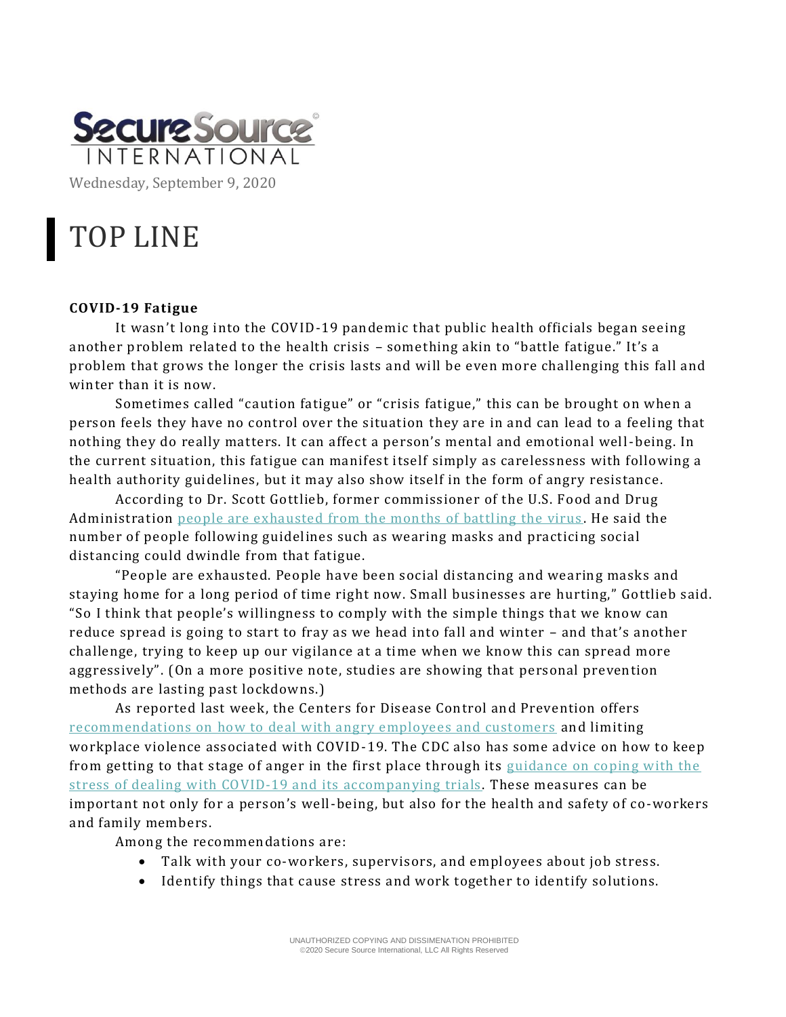

# TOP LINE

## **COVID-19 Fatigue**

It wasn't long into the COVID-19 pandemic that public health officials began seeing another problem related to the health crisis – something akin to "battle fatigue." It's a problem that grows the longer the crisis lasts and will be even more challenging this fall and winter than it is now.

Sometimes called "caution fatigue" or "crisis fatigue," this can be brought on when a person feels they have no control over the situation they are in and can lead to a feeling that nothing they do really matters. It can affect a person's mental and emotional well-being. In the current situation, this fatigue can manifest itself simply as carelessness with following a health authority guidelines, but it may also show itself in the form of angry resistance.

According to Dr. Scott Gottlieb, former commissioner of the U.S. Food and Drug Administration [people are exhausted from the months of battling the virus](https://www.cnn.com/world/live-news/coronavirus-pandemic-09-07-20-intl/h_e26d677966b28526da520b425081b3e0) . He said the number of people following guidelines such as wearing masks and practicing social distancing could dwindle from that fatigue.

"People are exhausted. People have been social distancing and wearing masks and staying home for a long period of time right now. Small businesses are hurting," Gottlieb said. "So I think that people's willingness to comply with the simple things that we know can reduce spread is going to start to fray as we head into fall and winter – and that's another challenge, trying to keep up our vigilance at a time when we know this can spread more aggressively". (On a more positive note, studies are showing that personal prevention methods are lasting past lockdowns.)

As reported last week, the Centers for Disease Control and Prevention offers [recommendations on how to deal with angry employees and customers](https://www.cdc.gov/coronavirus/2019-ncov/community/organizations/business-employers/limit-workplace-violence.html) and limiting workplace violence associated with COVID-19. The CDC also has some advice on how to keep from getting to that stage of anger in the first place through its [guidance on coping with the](https://www.cdc.gov/coronavirus/2019-ncov/community/mental-health-non-healthcare.html)  [stress of dealing with COVID-19 and its accompanying trials](https://www.cdc.gov/coronavirus/2019-ncov/community/mental-health-non-healthcare.html) . These measures can be important not only for a person's well-being, but also for the health and safety of co-workers and family members.

Among the recommendations are:

- Talk with your co-workers, supervisors, and employees about job stress.
- Identify things that cause stress and work together to identify solutions.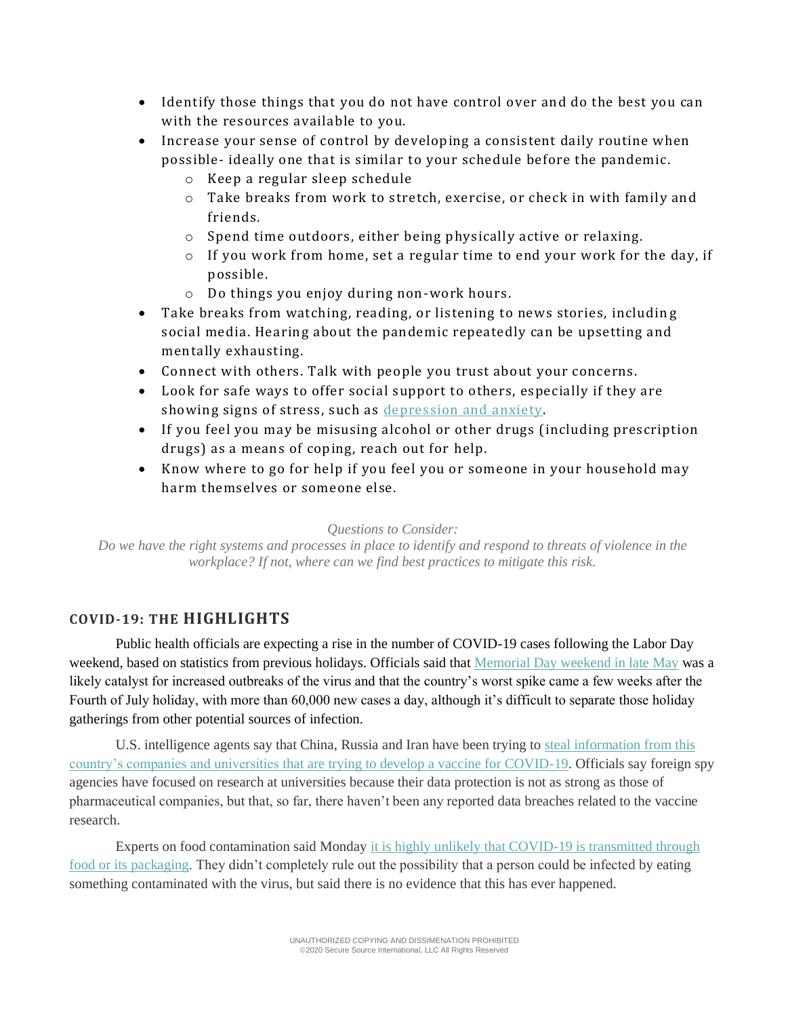- Identify those things that you do not have control over and do the best you can with the resources available to you.
- Increase your sense of control by developing a consistent daily routine when possible- ideally one that is similar to your schedule before the pandemic.
	- o Keep a regular sleep schedule
	- o Take breaks from work to stretch, exercise, or check in with family and friends.
	- o Spend time outdoors, either being physically active or relaxing.
	- $\circ$  If you work from home, set a regular time to end your work for the day, if possible.
	- o Do things you enjoy during non-work hours.
- Take breaks from watching, reading, or listening to news stories, including social media. Hearing about the pandemic repeatedly can be upsetting and mentally exhausting.
- Connect with others. Talk with people you trust about your concerns.
- Look for safe ways to offer social support to others, especially if they are showing signs of stress, such as [depression and anxiety.](https://www.cdc.gov/tobacco/campaign/tips/diseases/depression-anxiety.html)
- If you feel you may be misusing alcohol or other drugs (including prescription drugs) as a means of coping, reach out for help.
- Know where to go for help if you feel you or someone in your household may harm themselves or someone else.

*Questions to Consider:*

*Do we have the right systems and processes in place to identify and respond to threats of violence in the workplace? If not, where can we find best practices to mitigate this risk.*

## **COVID-19: THE HIGHLIGHTS**

Public health officials are expecting a rise in the number of COVID-19 cases following the Labor Day weekend, based on statistics from previous holidays. Officials said that [Memorial Day weekend in late May](https://www.bloomberg.com/news/articles/2020-09-03/fauci-warns-seven-midwest-states-to-be-on-alert-over-labor-day) was a likely catalyst for increased outbreaks of the virus and that the country's worst spike came a few weeks after the Fourth of July holiday, with more than 60,000 new cases a day, although it's difficult to separate those holiday gatherings from other potential sources of infection.

U.S. intelligence agents say that China, Russia and Iran have been trying to [steal information from this](https://www.nytimes.com/2020/09/05/world/coronavirus-covid.html)  [country's companies and universities that are trying to develop a vaccine for COVID-19.](https://www.nytimes.com/2020/09/05/world/coronavirus-covid.html) Officials say foreign spy agencies have focused on research at universities because their data protection is not as strong as those of pharmaceutical companies, but that, so far, there haven't been any reported data breaches related to the vaccine research.

Experts on food contamination said Monday it is highly unlikely that COVID-19 is transmitted through [food or its packaging.](https://www.cnn.com/world/live-news/coronavirus-pandemic-09-07-20-intl/index.html) They didn't completely rule out the possibility that a person could be infected by eating something contaminated with the virus, but said there is no evidence that this has ever happened.